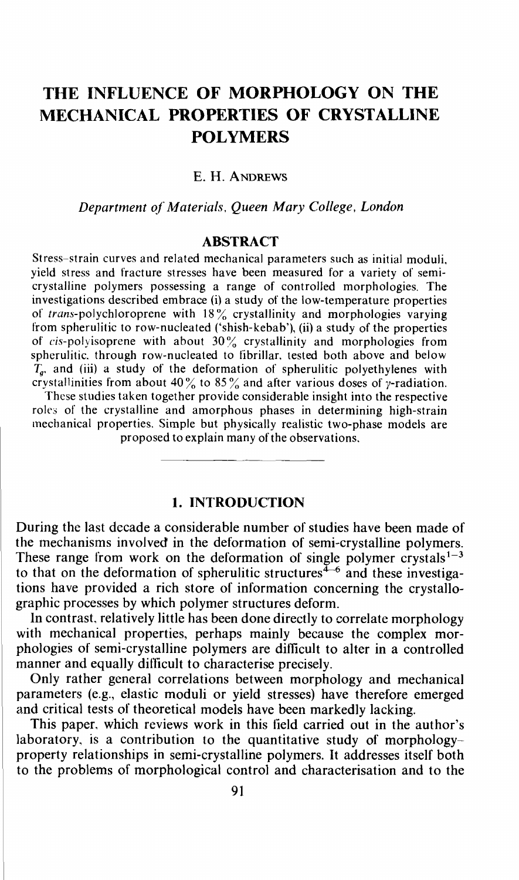# THE INFLUENCE OF MORPHOLOGY ON THE MECHANICAL PROPERTIES OF CRYSTALLINE POLYMERS

## **E. H. ANDREWS**

Department of Materials, Queen Mary College, London

### ABSTRACT

Stress—strain curves and related mechanical parameters such as initial moduli, yield stress and fracture stresses have been measured for a variety of semicrystalline polymers possessing a range of controlled morphologies. The investigations described embrace (i) a study of the low-temperature properties of trans-polychloroprene with  $18\%$  crystallinity and morphologies varying from spherulitic to row-nucleated ('shish-kebab'), (ii) a study of the properties of cis-polyisoprene with about 30% crystallinity and morphologies from spherulitic. through row-nucleated to librillar, tested both above and below  $T_a$ , and (iii) a study of the deformation of spherulitic polyethylenes with crystallinities from about  $40\%$  to  $85\%$  and after various doses of y-radiation.

These studies taken together provide considerable insight into the respective roles of the crystalline and amorphous phases in determining high-strain mechanical properties. Simple but physically realistic two-phase models are proposed to explain many of the observations.

### 1. INTRODUCTION

During the last decade a considerable number of studies have been made of the mechanisms involved in the deformation of semi-crystalline polymers. These range from work on the deformation of single polymer crystals<sup> $1-3$ </sup> to that on the deformation of spherulitic structures<sup> $4-6$ </sup> and these investigations have provided a rich store of information concerning the crystallographic processes by which polymer structures deform.

In contrast, relatively little has been done directly to correlate morphology with mechanical properties, perhaps mainly because the complex morphologies of semi-crystalline polymers are difficult to alter in a controlled manner and equally difticult to characterise precisely.

Only rather general correlations between morphology and mechanical parameters (e.g., elastic moduli or yield stresses) have therefore emerged and critical tests of theoretical models have been markedly lacking.

This paper, which reviews work in this field carried out in the author's laboratory, is a contribution to the quantitative study of morphologyproperty relationships in semi-crystalline polymers. It addresses itself both to the problems of morphological control and characterisation and to the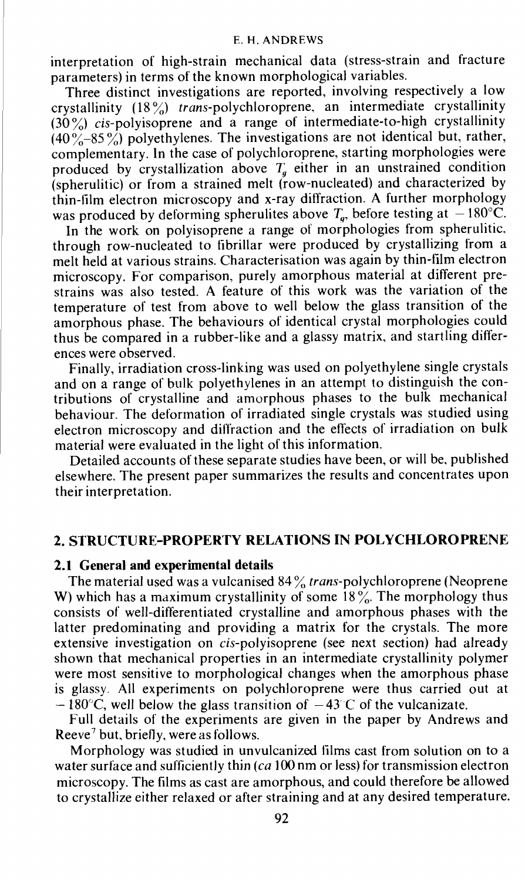interpretation of high-strain mechanical data (stress-strain and fracture parameters) in terms of the known morphological variables.

Three distinct investigations are reported, involving respectively a low crystallinity  $(18\%)$  trans-polychloroprene, an intermediate crystallinity  $(30\%)$  cis-polyisoprene and a range of intermediate-to-high crystallinity  $(40\degree - 85\degree)$  polyethylenes. The investigations are not identical but, rather, complementary. In the case of polychloroprene, starting morphologies were produced by crystallization above  $T_a$  either in an unstrained condition (spherulitic) or from a strained melt (row-nucleated) and characterized by thin-film electron microscopy and x-ray diffraction. A further morphology was produced by deforming spherulites above  $T_a$ , before testing at  $-180^{\circ}$ C.

In the work on polyisoprene a range of morphologies from spherulitic. through row-nucleated to fibrillar were produced by crystallizing from a melt held at various strains. Characterisation was again by thin-film electron strains was also tested. A feature of this work was the variation of the temperature of test from above to well below the glass transition of the amorphous phase. The behaviours of identical crystal morphologies could thus be compared in a rubber-like and a glassy matrix, and startling differences were observed.

Finally, irradiation cross-linking was used on polyethylene single crystals and on a range of bulk polyethylenes in an attempt to distinguish the contributions of crystalline and amorphous phases to the bulk mechanical behaviour. The deformation of irradiated single crystals was studied using electron microscopy and diliraction and the effects of irradiation on bulk material were evaluated in the light of this information.

Detailed accounts of these separate studies have been, or will be, published elsewhere. The present paper summarizes the results and concentrates upon their interpretation.

### 2. STRUCTURE-PROPERTY RELATIONS IN POLYCHLOROPRENE

**2.1 General and experimental details**<br>The material used was a vulcanised  $84\%$  *trans*-polychloroprene (Neoprene W) which has a maximum crystallinity of some 18%. The morphology thus consists of well-differentiated crystalline and amorphous phases with the latter predominating and providing a matrix for the crystals. The more extensive investigation on *cis-polyisoprene* (see next section) had already shown that mechanical properties in an intermediate crystallinity polymer were most sensitive to morphological changes when the amorphous phase is glassy. All experiments on polychloroprene were thus carried out at  $-180^{\circ}$ C, well below the glass transition of  $-43^{\circ}$ C of the vulcanizate.

Full details of the experiments are given in the paper by Andrews and Reeve<sup>7</sup> but, briefly, were as follows.

Morphology was studied in unvulcanized films cast from solution on to a water surface and sufficiently thin (ca 100 nm or less) for transmission electron microscopy. The films as cast are amorphous, and could therefore be allowed to crystallize either relaxed or after straining and at any desired temperature.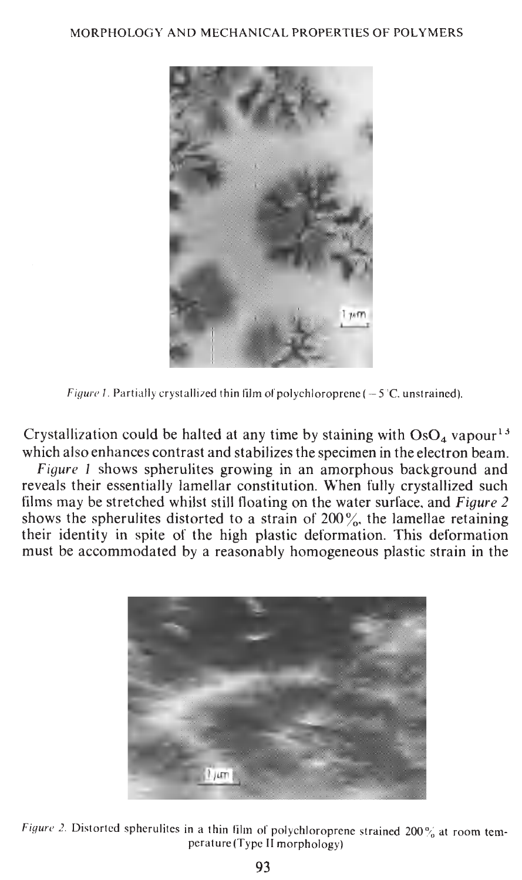

Figure 1. Partially crystallized thin film of polychloroprene ( $-5$ °C, unstrained).

which also enhances contrast and stabilizes the specimen in the electron beam. Crystallization could be halted at any time by staining with  $OsO<sub>4</sub>$  vapour<sup>13</sup>

must be accommodated by a reasonably homogeneous plastic strain in the their identity in spite of the high plastic deformation. This deformation films may be stretched whilst still floating on the water surface, and Figure 2 shows the spherulites distorted to a strain of  $200\%$ , the lamellae retaining  $\frac{1}{2}$  which is the alcohology allocated construction. When  $\frac{1}{2}$  is expansional  $\frac{1}{2}$  $\frac{J}{J}$  igure  $\frac{J}{J}$  shows spire three growing in an amorphous background and Figure 1 shows spherulites growing in an amorphous background and



Figure 2. Distorted spherulites in a thin film of polychloroprene strained 200% at room tem-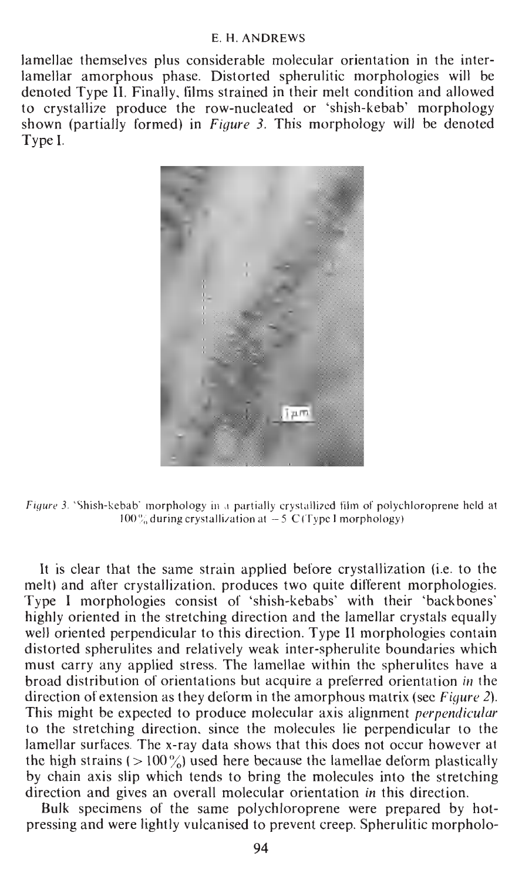lamellae themselves plus considerable molecular orientation in the inter-Jamellae themselves plus considerable molecular orientation in the inter-<br>Legallae ages als words as Distanted a homility would be helpeine will be dependent amorphous phase. Distorted spherulitic morphologies will be larger denoted type if, Finally, thins strained in their melt condition and allowed to crystallize produce the row-nucleated or 'shish-kebab' morphology<br>change (portially famual) in Figure 2. This prombalacy will be denoted Type I.



<sup>1</sup>Shish-kebab' morphology in a partially crystallized film of polychloroprene held at

ection and gives an overall molecular orientation in this direction.<br>Belli envisional of the cause is bobles provise were presented by het. by chain axis siip which tends to bring the molecules into the stretching the high strains  $(>100\%)$  used here because the lamellae detorm plastically  $t$  amellar surfaces. The x-ray data shows that this does not occur however at  $t_{\rm tot}$  bight properties  $(0.100\%)$  and  $t_{\rm tot}$  because the length of  $t_{\rm tot}$  of  $t_{\rm tot}$  of  $t_{\rm tot}$ . If the stretching direction, since the molecules ile perpendicular to the This might be expected to produce molecular axis alignment *perpendicular* to the stretching direction, since the molecules lie perpendicular to the direction of extension as they deform in the amorphous matrix (see Figure 2). broad distribution of orientations but acquire a preferred orientation in the discussion of current was distributed by  $\frac{1}{k}$  from write  $\frac{1}{k}$  from write  $\frac{1}{k}$  from write  $\frac{1}{k}$  from  $\frac{1}{k}$  from  $\frac{1}{k}$ must carry any applied stress. The rameflae within the spherumes have a alstoried spherulites and relatively weak inter-spherulite boundaries which<br>must carry any applied stress. The lamelles within the enharylites have a wen oriented perpendicular to this direction. Type II morphologies contain highly oriented in the stretching direction and the lamellar crystals equally well oriented perpendicular to this direction. Type II morphologies contain  $\frac{p}{p}$  indephologies consist of smish-kepaps with their packbones It is clear that the same strain applied before crystallization (i.e. to the<br>melt) and after crystallization, produces two quite different morphologies.<br>Time I morphologies, consist of this keheber, with their theologies. It is clear that the same strain applied before crystallization (i.e. to the

Bulk specimens of the same polychloroprene were prepared by hot-<br>pressing and were lightly vulcanised to prevent creep. Spherulitic morpholo-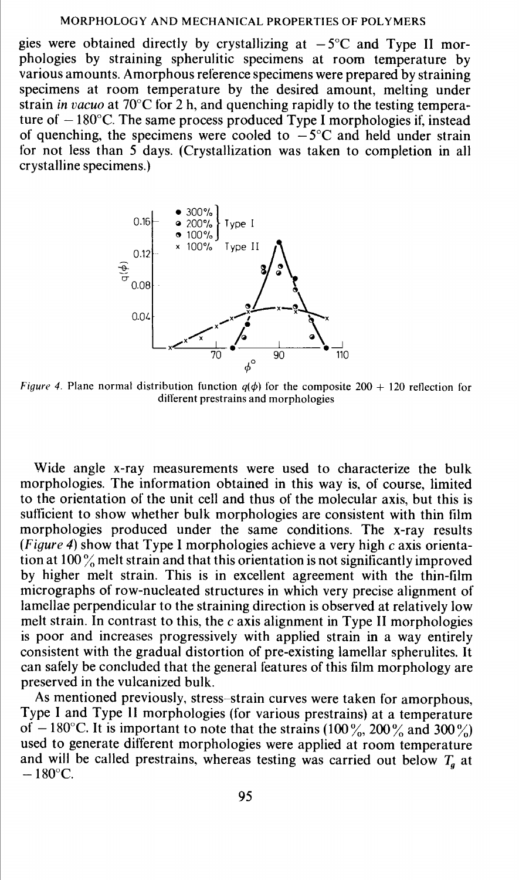gies were obtained directly by crystallizing at  $-5^{\circ}$ C and Type II morphologies by straining spherulitic specimens at room temperature by various amounts. Amorphous reference specimens were prepared by straining specimens at room temperature by the desired amount, melting under strain in vacuo at 70°C for 2 h, and quenching rapidly to the testing temperature of  $-180$ °C. The same process produced Type I morphologies if, instead of quenching, the specimens were cooled to  $-5^{\circ}$ C and held under strain for not less than 5 days. (Crystallization was taken to completion in all crystalline specimens.)



*Figure 4.* Plane normal distribution function  $q(\phi)$  for the composite 200 + 120 reflection for different prestrains and morphologies

Wide angle x-ray measurements were used to characterize the bulk morphologies. The information obtained in this way is, of course, limited to the orientation of the unit cell and thus of the molecular axis, but this is sufficient to show whether bulk morphologies are consistent with thin film morphologies produced under the same conditions. The x-ray results (Figure 4) show that Type I morphologies achieve a very high c axis orientation at 100% melt strain and that this orientation is not significantly improved by higher melt strain. This is in excellent agreement with the thin-film micrographs of row-nucleated structures in which very precise alignment of lamellac perpendicular to the straining direction is observed at relatively low melt strain. In contrast to this, the c axis alignment in Type II morphologies is poor and increases progressively with applied strain in a way entirely consistent with the gradual distortion of pre-existing lamellar spherulites. It can safely be concluded that the general features of this film morphology are preserved in the vulcanized bulk.

As mentioned previously, stress—strain curves were taken for amorphous, Type I and Type II morphologies (for various prestrains) at a temperature of  $-180^{\circ}$ C. It is important to note that the strains (100%, 200% and 300%) used to generate dilierent morphologies were applied at room temperature and will be called prestrains, whereas testing was carried out below  $T_g$  at  $-180^{\circ}$ C.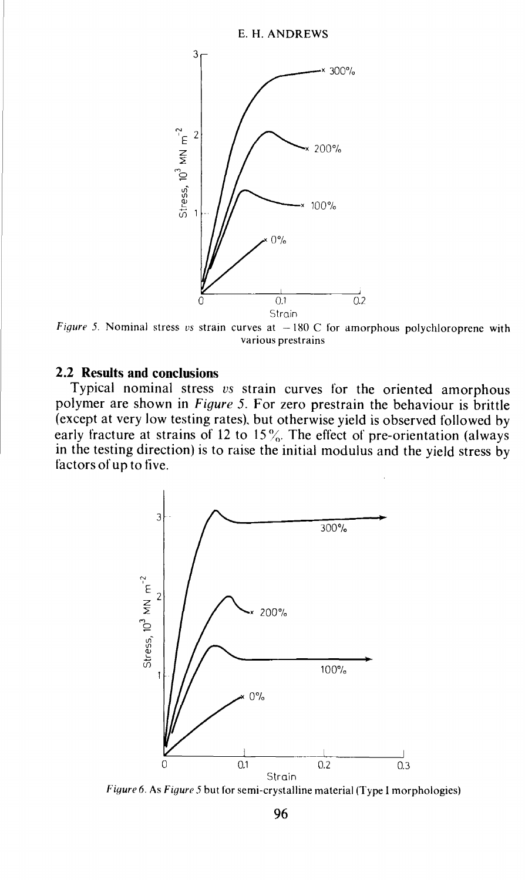

Figure 5. Nominal stress vs strain curves at  $-180$  C for amorphous polychloroprene with various prestrains

### 2.2 Results and conclusions

Typical nominal stress vs strain curves for the oriented amorphous polymer are shown in Figure 5. For zero prestrain the behaviour is brittle (except at very low testing rates), but otherwise yield is observed followed by early fracture at strains of 12 to 15 $\%$ . The effect of pre-orientation (always in the testing direction) is to raise the initial modulus and the yield stress by factors of up to five.



Figure 6. As Figure 5 but for semi-crystalline material (Type I morphologies)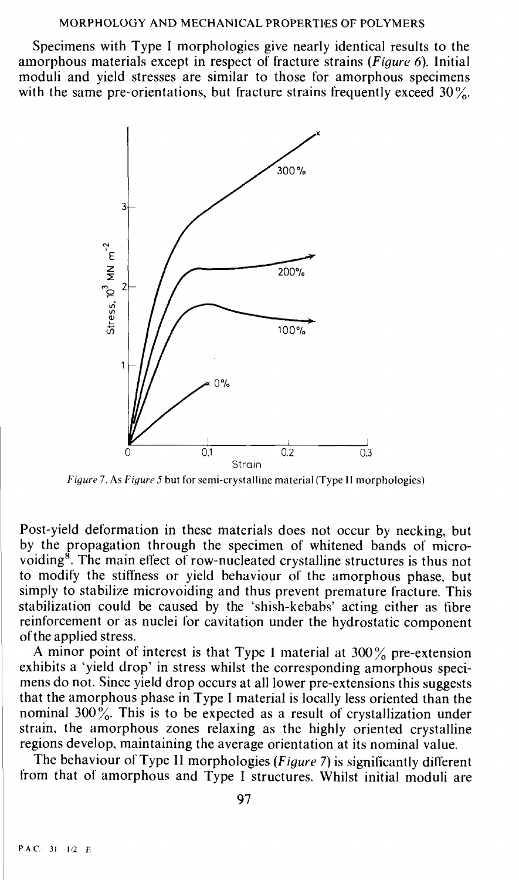Specimens with Type I morphologies give nearly identical results to the amorphous materials except in respect of fracture strains (Figure 6). Initial moduli and yield stresses are similar to those for amorphous specimens with the same pre-orientations, but fracture strains frequently exceed  $30\%$ .



Figure7. As Figure 5 but for semi-crystalline material (Type 11 morphologies)

Post-yield deformation in these materials does not occur by necking, but by the propagation through the specimen of whitened bands of microvoiding8. The main eflect of row-nucleated crystalline structures is thus not to modify the stillness or yield behaviour of the amorphous phase, but simply to stabilize microvoiding and thus prevent premature fracture. This stabilization could be caused by the 'shish-kebabs' acting either as fibre reinforcement or as nuclei for cavitation under the hydrostatic component of the applied stress.

A minor point of interest is that Type I material at  $300\%$  pre-extension exhibits a 'yield drop' in stress whilst the corresponding amorphous specimens do not. Since yield drop occurs at all lower pre-extensions this suggests that the amorphous phase in Type I material is locally less oriented than the nominal 300 %. This is to be expected as a result of crystallization under strain, the amorphous zones relaxing as the highly oriented crystalline regions develop, maintaining the average orientation at its nominal value.

The behaviour of Type II morphologies (Figure 7) is significantly different from that of amorphous and Type I structures. Whilst initial moduli are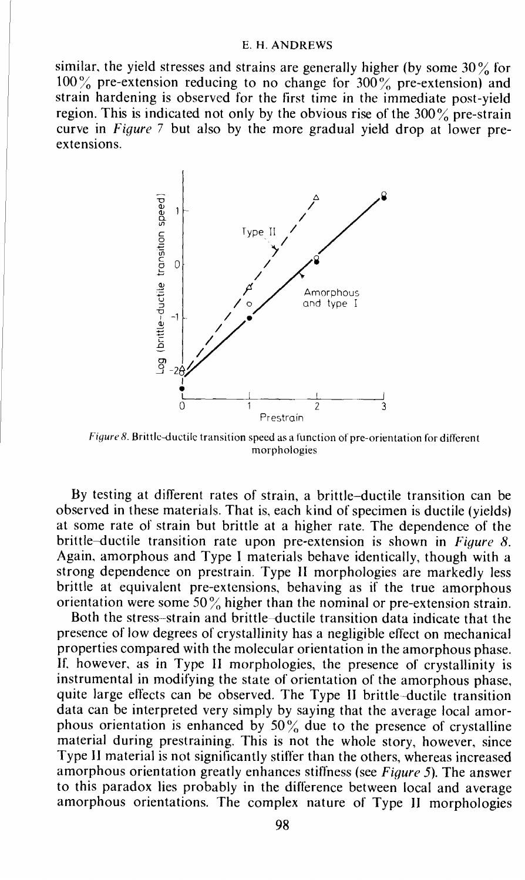similar, the yield stresses and strains are generally higher (by some  $30\%$  for  $100\%$  pre-extension reducing to no change for  $300\%$  pre-extension) and strain hardening is observed for the first time in the immediate post-yield region. This is indicated not only by the obvious rise of the  $300\%$  pre-strain curve in Figure 7 but also by the more gradual yield drop at lower preextensions.



Figure 8. Brittle-ductile transition speed as a function of pre-orientation for different morphologies

By testing at different rates of strain, a brittle—ductile transition can be observed in these materials. That is, each kind of specimen is ductile (yields) at some rate of strain but brittle at a higher rate. The dependence of the brittle—ductile transition rate upon pre-extension is shown in Figure 8. Again, amorphous and Type I materials behave identically, though with a strong dependence on prestrain. Type II morphologies are markedly less brittle at equivalent pre-extensions, behaving as if the true amorphous orientation were some  $50\%$  higher than the nominal or pre-extension strain.

Both the stress-strain and brittle—ductile transition data indicate that the presence of low degrees of' crystallinity has a negligible effect on mechanical properties compared with the molecular orientation in the amorphous phase. If, however, as in Type II morphologies, the presence of crystallinity is instrumental in modifying the state of orientation of the amorphous phase, quite large effects can be observed. The Type II brittle—ductile transition data can be interpreted very simply by saying that the average local amorphous orientation is enhanced by  $50\%$  due to the presence of crystalline material during prestraining. This is not the whole story, however, since Type 11 material is not significantly stiffer than the others, whereas increased amorphous orientation greatly enhances stiffness (see Figure 5). The answer to this paradox lies probably in the difference between local and average amorphous orientations. The complex nature of Type II morphologies

98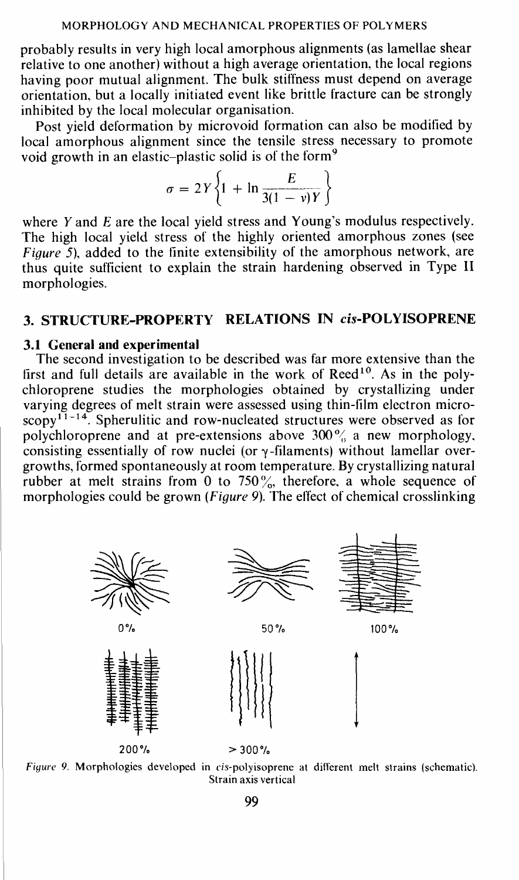probably results in very high local amorphous alignments (as lamellae shear relative to one another) without a high average orientation, the local regions having poor mutual alignment. The bulk stiffness must depend on average orientation, but a locally initiated event like brittle fracture can be strongly inhibited by the local molecular organisation.

Post yield deformation by microvoid formation can also be modified by local amorphous alignment since the tensile stress necessary to promote void growth in an elastic–plastic solid is of the form<sup>9</sup>

$$
\sigma = 2Y \left\{ 1 + \ln \frac{E}{3(1 - v)Y} \right\}
$$

where Y and E are the local yield stress and Young's modulus respectively. The high local yield stress of the highly oriented amorphous zones (see Figure 5), added to the finite extensibility of the amorphous network, are thus quite suflicient to explain the strain hardening observed in Type II morphologies.

## 3. STRUCTURE-PROPERTY RELATIONS IN cis-POLYISOPRENE

### 3.1 General and experimental

The second investigation to be described was far more extensive than the first and full details are available in the work of  $\text{Reed}^{10}$ . As in the poly-<br>chloroprene studies the morphologies obtained by crystallizing under varying degrees of melt strain were assessed using thin-film electron micro $scopy^{11-14}$ . Spherulitic and row-nucleated structures were observed as for polychloroprene and at pre-extensions above 300% a new morphology. consisting essentially of row nuclei (or  $\gamma$ -filaments) without lamellar over-<br>growths, formed spontaneously at room temperature. By crystallizing natural rubber at melt strains from 0 to 750%, therefore, a whole sequence of morphologies could be grown (*Figure 9*). The effect of chemical crosslinking



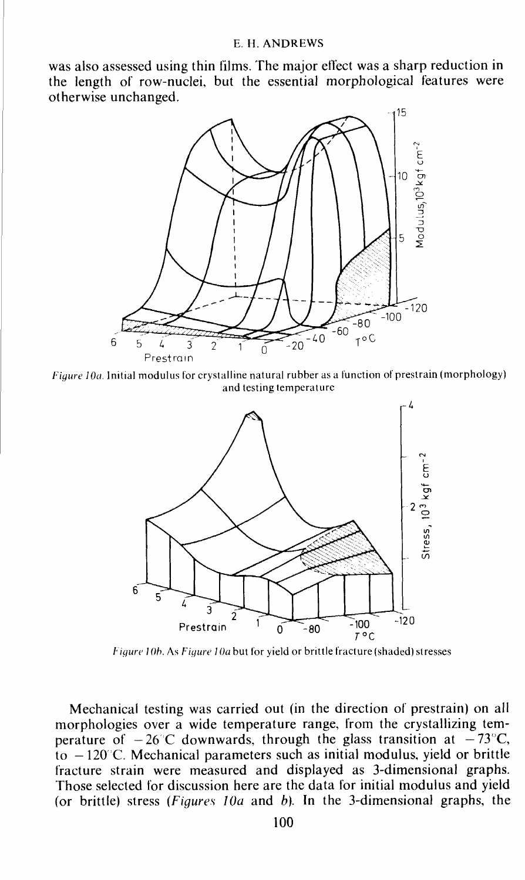was also assessed using thin films. The major effect was a sharp reduction in the length of row-nuclei, but the essential morphological features were otherwise unchanged.



Figure lOa. Initial modulus for crystalline natural rubber as a function of prestrain (morphology) and testing temperature



Figure 10b. As Figure 10a but for yield or brittle fracture (shaded) stresses

Mechanical testing was carried out (in the direction of prestrain) on all morphologies over a wide temperature range, from the crystallizing temperature of  $-26^{\circ}$ C downwards, through the glass transition at  $-73^{\circ}$ C,  $\overline{t}_0$  – 120°C. Mechanical parameters such as initial modulus, yield or brittle fracture strain were measured and displayed as 3-dimensional graphs. Those selected for discussion here are the data for initial modulus and yield (or brittle) stress (Figures 10a and b). In the 3-dimensional graphs, the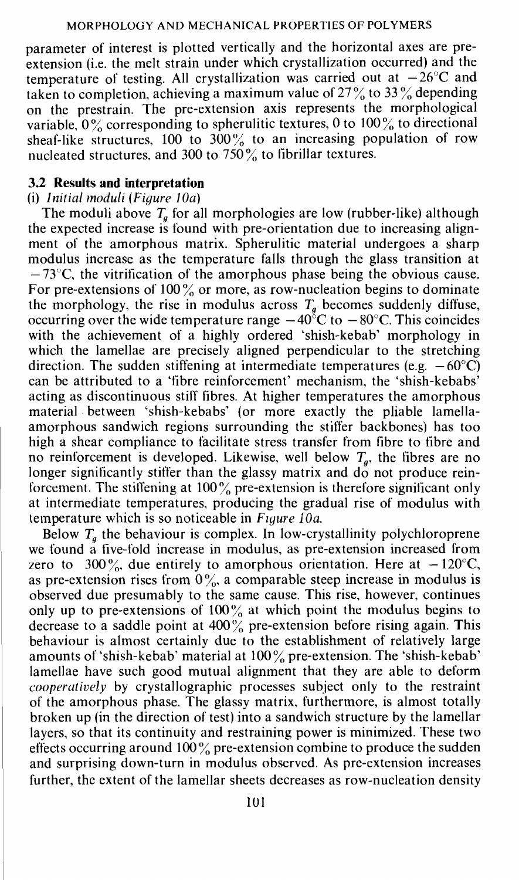parameter of interest is plotted vertically and the horizontal axes are preextension (i.e. the melt strain under which crystallization occurred) and the temperature of testing. All crystallization was carried out at  $-26^{\circ}$ C and taken to completion, achieving a maximum value of  $27\%$  to 33% depending on the prestrain. The pre-extension axis represents the morphological variable,  $0\%$  corresponding to spherulitic textures, 0 to  $100\%$  to directional sheaf-like structures, 100 to 300% to an increasing population of row nucleated structures, and 300 to  $750\%$  to fibrillar textures.

# 3.2 Results and interpretation (i) Initial moduli (Figure 10a)

The moduli above  $T_a$  for all morphologies are low (rubber-like) although the expected increase is found with pre-orientation due to increasing alignment of the amorphous matrix. Spherulitic material undergoes a sharp modulus increase as the temperature falls through the glass transition at  $-73^{\circ}$ C, the vitrification of the amorphous phase being the obvious cause. For pre-extensions of  $100\%$  or more, as row-nucleation begins to dominate the morphology, the rise in modulus across  $T<sub>g</sub>$  becomes suddenly diffuse, occurring over the wide temperature range  $-40^{\circ}$ C to  $-80^{\circ}$ C. This coincides with the achievement of a highly ordered 'shish-kebab' morphology in which the lamellae are precisely aligned perpendicular to the stretching direction. The sudden stiffening at intermediate temperatures (e.g.  $-60^{\circ}$ C) can be attributed to a 'fibre reinforcement' mechanism, the 'shish-kebabs' acting as discontinuous stiff fibres. At higher temperatures the amorphous material between 'shish-kebabs' (or more exactly the pliable lamellaamorphous sandwich regions surrounding the stiffer backbones) has too high a shear compliance to facilitate stress transfer from fibre to fibre and no reinforcement is developed. Likewise, well below  $T<sub>a</sub>$ , the fibres are no longer significantly stiffer than the glassy matrix and  $d\ddot{o}$  not produce reinforcement. The stiffening at 100% pre-extension is therefore significant only at intermediate temperatures, producing the gradual rise of modulus with temperature which is so noticeable in  $Figure 10a$ .

Below  $T_a$  the behaviour is complex. In low-crystallinity polychloroprene we found a five-fold increase in modulus, as pre-extension increased from zero to 300%, due entirely to amorphous orientation. Here at  $-120^{\circ}$ C, as pre-extension rises from  $0\%$ , a comparable steep increase in modulus is observed due presumably to the same cause. This rise, however, continues only up to pre-extensions of  $100\%$  at which point the modulus begins to decrease to a saddle point at  $400\%$  pre-extension before rising again. This behaviour is almost certainly due to the establishment of relatively large amounts of 'shish-kebab' material at  $100\%$  pre-extension. The 'shish-kebab' lamellae have such good mutual alignment that they are able to deform *cooperatively* by crystallographic processes subject only to the restraint of the amorphous phase. The glassy matrix, furthermore, is almost totally broken up (in the direction of test) into a sandwich structure by the lamellar layers, so that its continuity and restraining power is minimized. These two effects occurring around  $100\%$  pre-extension combine to produce the sudden and surprising down-turn in modulus observed. As pre-extension increases further, the extent of the lamellar sheets decreases as row-nucleation density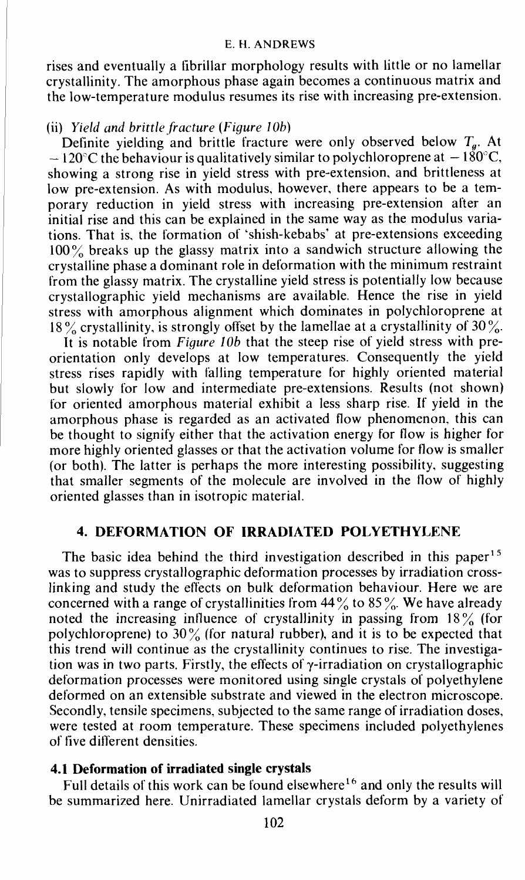rises and eventually a fibrillar morphology results with little or no lamellar crystallinity. The amorphous phase again becomes a continuous matrix and the low-temperature modulus resumes its rise with increasing pre-extension.

### (ii) Yield and brittle fracture (Figure lOb)

Definite yielding and brittle fracture were only observed below  $T<sub>g</sub>$ . At  $-120^{\circ}$ C the behaviour is qualitatively similar to polychloroprene at  $-180^{\circ}$ C, showing a strong rise in yield stress with pre-extension, and brittleness at low pre-extension. As with modulus, however, there appears to be a temporary reduction in yield stress with increasing pre-extension after an initial rise and this can be explained in the same way as the modulus variations. That is, the formation of 'shish-kebabs' at pre-extensions exceeding 100% breaks up the glassy matrix into a sandwich structure allowing the crystalline phase a dominant role in deformation with the minimum restraint from the glassy matrix. The crystalline yield stress is potentially low because crystallographic yield mechanisms are available. Hence the rise in yield stress with amorphous alignment which dominates in polychioroprene at 18% crystallinity, is strongly offset by the lamellae at a crystallinity of  $30\%$ .

It is notable from Figure 10b that the steep rise of yield stress with preorientation only develops at low temperatures. Consequently the yield stress rises rapidly with falling temperature for highly oriented material but slowly for low and intermediate pre-extensions. Results (not shown) for oriented amorphous material exhibit a less sharp rise. If yield in the amorphous phase is regarded as an activated flow phenomenon, this can be thought to signify either that the activation energy for flow is higher for more highly oriented glasses or that the activation volume for flow is smaller (or both). The latter is perhaps the more interesting possibility, suggesting that smaller segments of the molecule are involved in the flow of highly oriented glasses than in isotropic material.

### 4. DEFORMATION OF IRRADIATED POLYETHYLENE

The basic idea behind the third investigation described in this paper<sup>15</sup> was to suppress crystallographic deformation processes by irradiation crosslinking and study the effects on bulk deformation behaviour. Here we are concerned with a range of crystallinities from  $44\%$  to  $85\%$ . We have already noted the increasing influence of crystallinity in passing from  $18\%$  (for polychloroprene) to  $30\%$  (for natural rubber), and it is to be expected that this trend will continue as the crystallinity continues to rise. The investigation was in two parts. Firstly, the effects of  $\gamma$ -irradiation on crystallographic deformation processes were monitored using single crystals of polyethylene deformed on an extensible substrate and viewed in the electron microscope. Secondly, tensile specimens, subjected to the same range of irradiation doses, were tested at room temperature. These specimens included polyethylenes of five different densities.

### 4.1 Deformation of irradiated single crystals

Full details of this work can be found elsewhere<sup>16</sup> and only the results will be summarized here. Unirradiated lamellar crystals deform by a variety of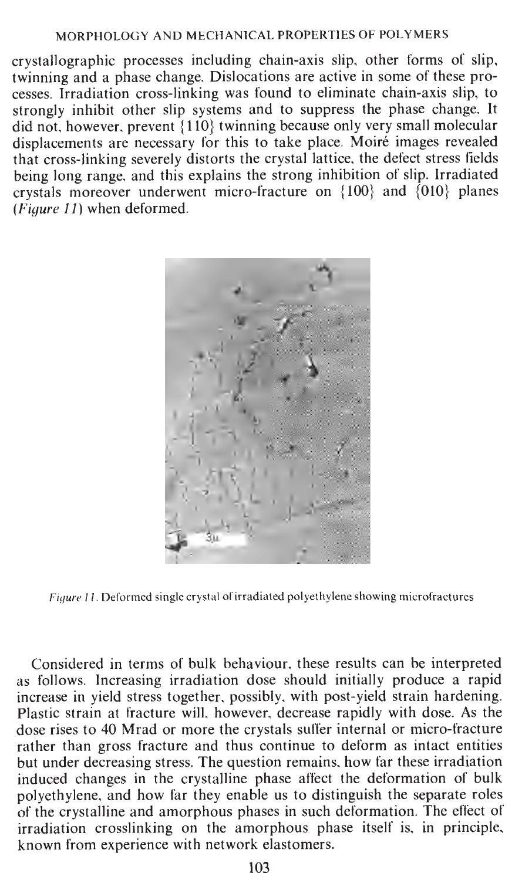$\frac{1}{2}$  crystallographic processes including chain-axis slip other forms of slip. crystallographic processes including chain-axis slip, other forms of slip, twinning and a phase change. Dislocations are active in some of these protwinning and a phase change. Dislocations are active in some of these processes. Irradiation cross-linking was found to eliminate chain-axis slip, to scesses. Irradiation cross-linking was found to eliminate chain-axis slip, to<br>strongly inhibit other slip systems and to suppress the phase change. It strongly inhibit other slip systems and to suppress the phase change. It<br>did not bowever prevent  $(110)$  twinning because only very small molecular did not, however, prevent  $\{110\}$  twinning because only very small molecular<br>displacements are necessary for this to take place. Moiré images revealed displacements are necessary for this to take place. Moire images revealed that cross-linking severely distorts the crystal lattice, the defect stress fields being long range, and this explains the strong inhibition of slip. Irradiated crystals moreover underwent micro-fracture on  $\{100\}$  and  $\{010\}$  planes  $(Fiaure 11)$  when deformed.



Figure 11. Deformed single crystal of irradiated polyethylene showing microfractures

Considered in terms of bulk behaviour, these results can be interpreted as follows. Increasing irradiation dose should initially produce a rapid increase in yield stress together, possibly, with post-yield strain hardening. Plastic strain at fracture will, however, decrease rapidly with dose. As the dose rises to 40 Mrad or more the crystals suffer internal or micro-fracture rather than gross fracture and thus continue to deform as intact entities rather than gross fracture and thus continue to deform as intact entities .<br>but under decreasing stress. The question remains how far these irradiation. boaubni aognsdo ni 3d! onulhua\L1o oasdq !oIis 3d! noi!smioiob lo Alud induced changes in the crystalline phase affect the deformation of bulk<br>nolvethylene, and how far they enable us to distinguish the separate roles odyethylene, and how far they enable us to distinguish the separate roles<br>the contribution and any embana phases in such defermation. The effect of of the crystalline and amorphous phases in such deformation. The effect of irradiation crosslinking on the amorphous phase itself is, in principle, known from experience with network elastomers.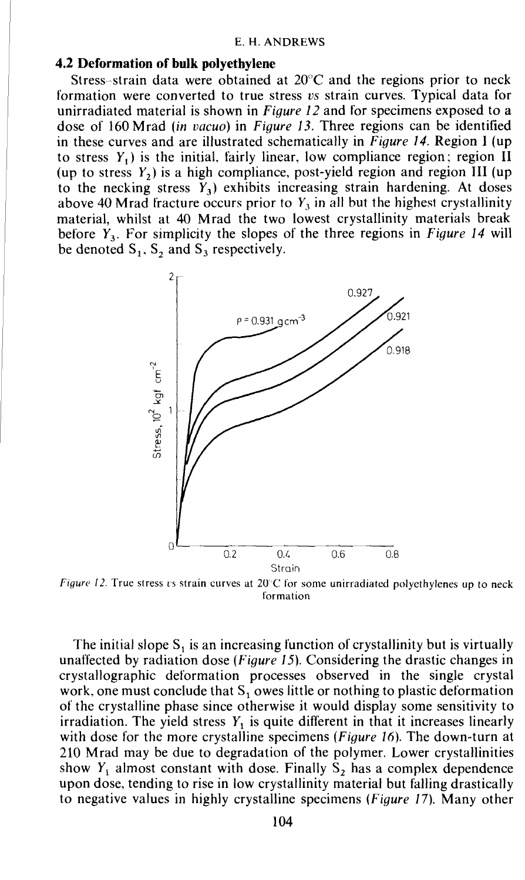### 4.2 Deformation of bulk polyethylene

Stress-strain data were obtained at  $20^{\circ}$ C and the regions prior to neck formation were converted to true stress vs strain curves. Typical data for unirradiated material is shown in Figure 12 and for specimens exposed to a dose of 160 Mrad (in vacuo) in Figure 13. Three regions can be identified in these curves and are illustrated schematically in Figure 14. Region I (up to stress  $Y_1$ ) is the initial, fairly linear, low compliance region; region II (up to stress  $Y_2$ ) is a high compliance, post-yield region and region III (up to the necking stress  $Y_3$ ) exhibits increasing strain hardening. At doses above 40 Mrad fracture occurs prior to  $Y_3$  in all but the highest crystallinity material, whilst at 40 Mrad the two lowest crystallinity materials break before  $Y_3$ . For simplicity the slopes of the three regions in Figure 14 will be denoted  $S_1$ ,  $S_2$  and  $S_3$  respectively.



Figure 12. True stress vs strain curves at  $20^{\circ}$ C for some unirradiated polyethylenes up to neck formation

The initial slope  $S_1$  is an increasing function of crystallinity but is virtually unaffected by radiation dose (Figure 15). Considering the drastic changes in crystallographic deformation processes observed in the single crystal work, one must conclude that  $S_1$  owes little or nothing to plastic deformation of the crystalline phase since otherwise it would display some sensitivity to irradiation. The yield stress  $Y_1$  is quite different in that it increases linearly with dose for the more crystalline specimens (Figure 16). The down-turn at 210 Mrad may be due to degradation of the polymer. Lower crystallinities show  $Y_1$  almost constant with dose. Finally  $S_2$  has a complex dependence upon dose, tending to rise in low crystallinity material but falling drastically to negative values in highly crystalline specimens (Figure 17). Many other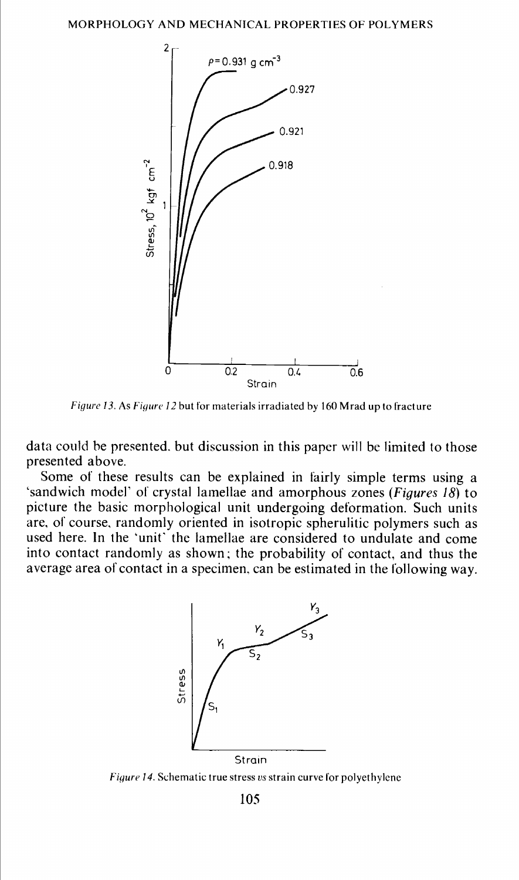

Figure 13, As Figure 12 but for materials irradiated by 160 Mrad up to fracture

data could he presented. but discussion in this paper will be limited to those presented above.

Some of these results can be explained in fairly simple terms using a 'sandwich model' of crystal lamellae and amorphous zones (Figures 18) to picture the basic morphological unit undergoing deformation. Such units are, of course, randomly oriented in isotropic spherulitic polymers such as used here. In the 'unit' the lamellae are considered to undulate and come into contact randomly as shown; the probability of contact, and thus the average area of contact in a specimen, can be estimated in the following way.



Figure 14. Schematic true stress vs strain curve for polyethylene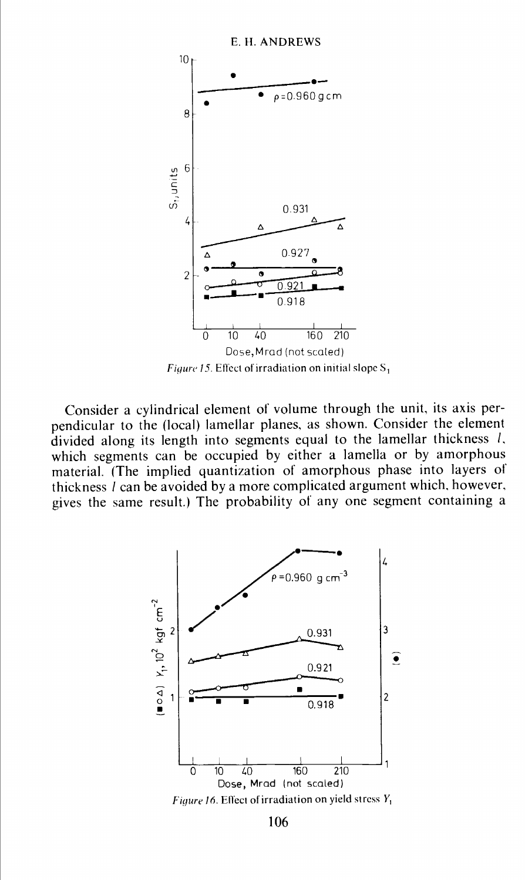

Figure 15. Effect of irradiation on initial slope  $S_1$ 

Consider a cylindrical element of volume through the unit, its axis perpendicular to the (local) lamellar planes, as shown. Consider the element divided along its length into segments equal to the lamellar thickness 1, which segments can be occupied by either a lamella or by amorphous material. (The implied quantization of amorphous phase into layers of thickness 1 can be avoided by a more complicated argument which, however, gives the same result.) The probability of any one segment containing a



106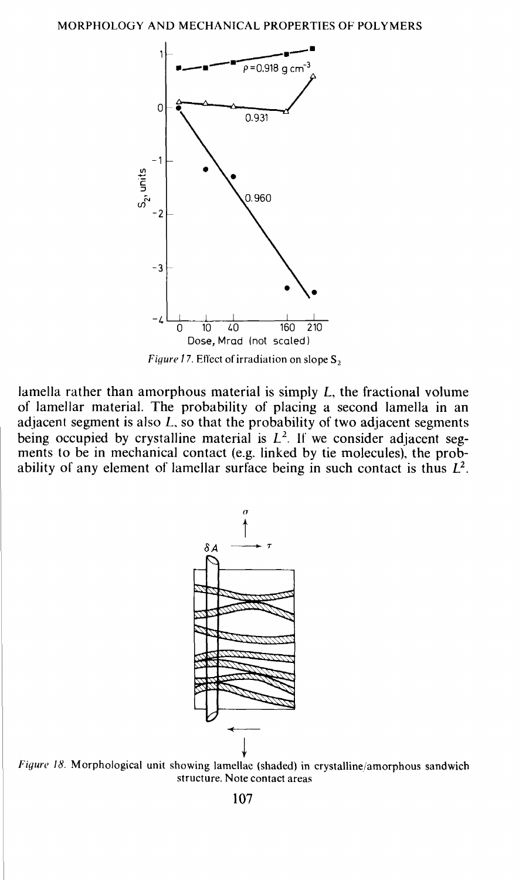

Figure 17. Effect of irradiation on slope  $S_2$ 

lamella rather than amorphous material is simply L, the fractional volume of lamellar material. The probability of placing a second lamella in an adjacent segment is also L, so that the probability of two adjacent segments being occupied by crystalline material is  $L^2$ . If we consider adjacent segbeing occupied by complements in the considered adjacent seg-<br>ments to be in mechanical contact (e.g. linked by tie molecules), the probability of any element of lamellar surface being in such contact is thus  $L^2$ .



Figure 18. Morphological unit showing lamellac (shaded) in crystalline/amorphous sandwich structure. Note contact areas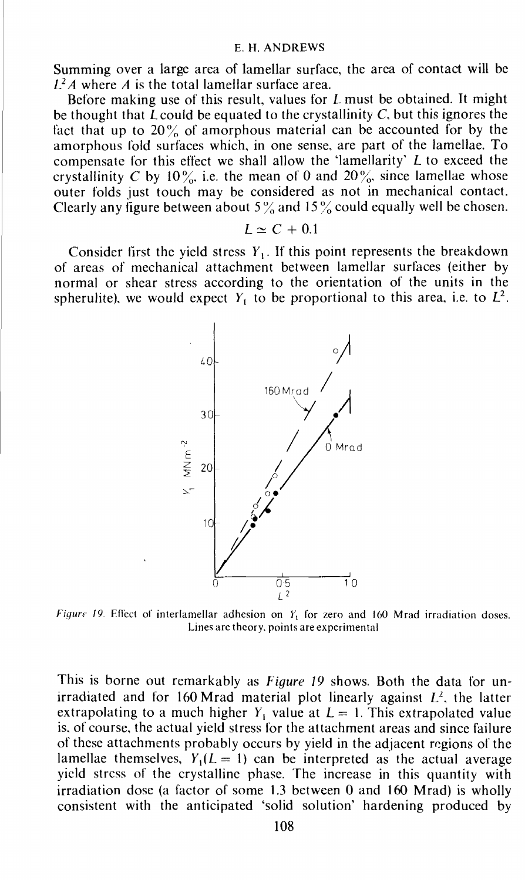Summing over a large area of lamellar surface, the area of contact will be  $L^2A$  where A is the total lamellar surface area.

Before making use of this result, values for  *must be obtained. It might* be thought that  $\overline{L}$  could be equated to the crystallinity  $C$ , but this ignores the fact that up to  $20\%$  of amorphous material can be accounted for by the amorphous fold surfaces which, in one sense, are part of the lamellae. To compensate for this effect we shall allow the 'lamellarity' L to exceed the crystallinity C by 10%, i.e. the mean of 0 and 20%, since lamellae whose outer folds just touch may be considered as not in mechanical contact. Clearly any figure between about  $5\%$  and  $15\%$  could equally well be chosen.

$$
L \simeq C + 0.1
$$

Consider first the yield stress  $Y_1$ . If this point represents the breakdown of areas of mechanical attachment between lamellar surfaces (either by normal or shear stress according to the orientation of the units in the spherulite), we would expect  $Y_1$  to be proportional to this area, i.e. to  $L^2$ .



Figure 19. Effect of interlamellar adhesion on  $Y_1$  for zero and 160 Mrad irradiation doses. Lines arc theory, points are experimental

This is borne out remarkably as Figure 19 shows. Both the data for unirradiated and for 160 Mrad material plot linearly against  $L<sup>2</sup>$ , the latter extrapolating to a much higher  $Y_1$  value at  $L = 1$ . This extrapolated value is, of course, the actual yield stress for the attachment areas and since failure of' these attachments probably occurs by yield in the adjacent regions of the lamellae themselves,  $Y_1(L = 1)$  can be interpreted as the actual average yield stress of the crystalline phase. The increase in this quantity with irradiation dose (a factor of some 1.3 between 0 and 160 Mrad) is wholly consistent with the anticipated 'solid solution' hardening produced by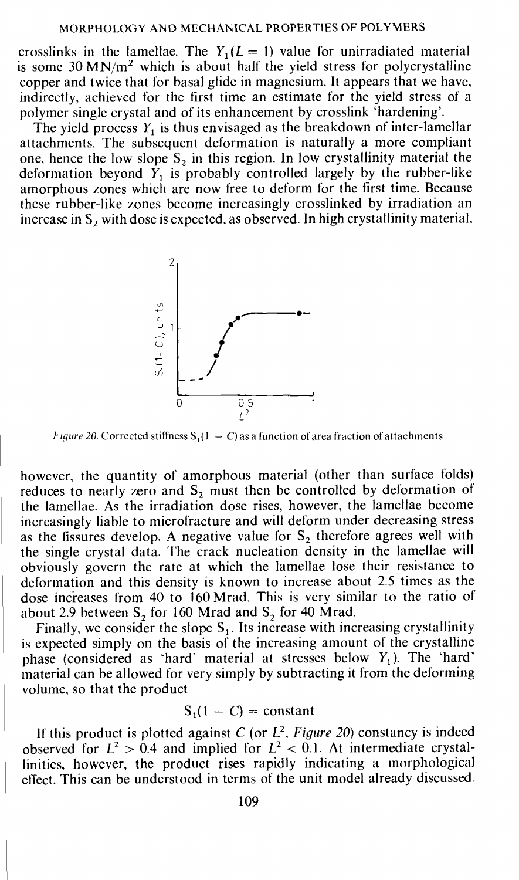crosslinks in the lamellae. The  $Y_1(L = 1)$  value for unirradiated material is some 30 MN/ $m<sup>2</sup>$  which is about half the yield stress for polycrystalline copper and twice that for basal glide in magnesium. It appears that we have, indirectly, achieved for the first time an estimate for the yield stress of a polymer single crystal and of its enhancement by crosslink 'hardening'.

The yield process  $Y_1$  is thus envisaged as the breakdown of inter-lamellar attachments. The subsequent deformation is naturally a more compliant one, hence the low slope  $S_2$  in this region. In low crystallinity material the deformation beyond  $Y_1$  is probably controlled largely by the rubber-like amorphous zones which are now free to deform for the first time. Because these rubber-like zones become increasingly crosslinked by irradiation an increase in  $S_2$  with dose is expected, as observed. In high crystallinity material,



Figure 20. Corrected stiffness  $S_1(1 - C)$  as a function of area fraction of attachments

however, the quantity of amorphous material (other than surface folds) reduces to nearly zero and  $S_2$  must then be controlled by deformation of the lamellae. As the irradiation dose rises, however, the lamellae become increasingly liable to microfracture and will deform under decreasing stress as the fissures develop. A negative value for  $S_2$  therefore agrees well with the single crystal data. The crack nucleation density in the lamellae will obviously govern the rate at which the lamellae lose their resistance to deformation and this density is known to increase about 2.5 times as the dose increases from 40 to 160 Mrad. This is very similar to the ratio of about 2.9 between  $S_2$  for 160 Mrad and  $S_2$  for 40 Mrad.

Finally, we consider the slope  $S_1$ . Its increase with increasing crystallinity is expected simply on the basis of the increasing amount of the crystalline phase (considered as 'hard' material at stresses below  $Y_1$ ). The 'hard' material can be allowed for very simply by subtracting it from the deforming volume, so that the product

$$
S_1(1 - C) = constant
$$

If this product is plotted against C (or  $L^2$ , Figure 20) constancy is indeed observed for  $L^2 > 0.4$  and implied for  $L^2 < 0.1$ . At intermediate crystalunities, however, the product rises rapidly indicating a morphological effect. This can be understood in terms of the unit model already discussed.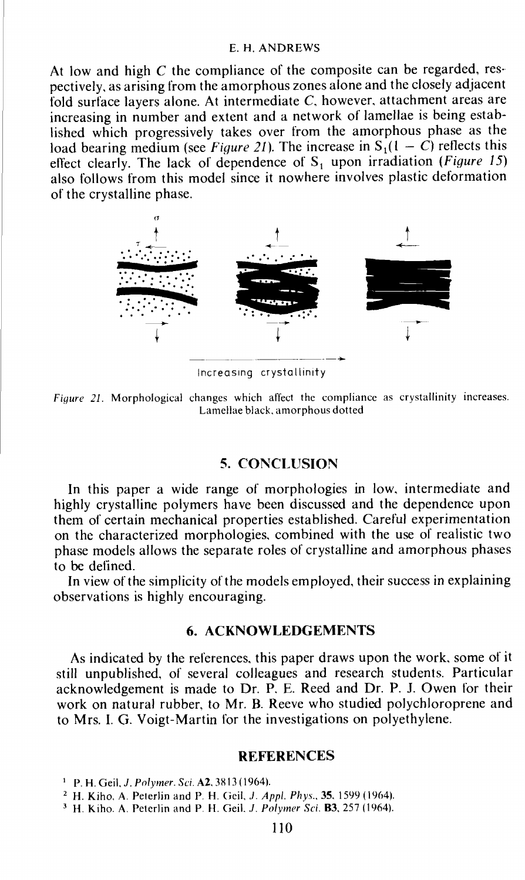At low and high  $C$  the compliance of the composite can be regarded, respectively, as arising from the amorphous zones alone and the closely adjacent fold surface layers alone. At intermediate C, however, attachment areas are increasing in number and extent and a network of lamellae is being established which progressively takes over from the amorphous phase as the load bearing medium (see *Figure 21*). The increase in  $S_1(1 - C)$  reflects this effect clearly. The lack of dependence of  $S_1$  upon irradiation (*Figure 15*) also follows from this model since it nowhere involves plastic deformation of the crystalline phase.



Increasing crystallinity

Figure 21. Morphological changes which affect the compliance as crystallinity increases. Lamellae black, amorphous dotted

### 5. CONCLUSION

In this paper a wide range of morphologies in low, intermediate and highly crystalline polymers have been discussed and the dependence upon them of certain mechanical properties established. Careful experimentation on the characterized morphologies, combined with the use of realistic two phase models allows the separate roles of crystalline and amorphous phases to be defined.

In view of the simplicity of the models employed, their success in explaining observations is highly encouraging.

### 6. ACKNOWLEDGEMENTS

As indicated by the references, this paper draws upon the work, some of it still unpublished, of several colleagues and research students. Particular acknowledgement is made to Dr. P. E. Reed and Dr. P. J. Owen for their work on natural rubber, to Mr. B. Reeve who studied polychloroprene and to Mrs. I. G. Voigt-Martin for the investigations on polyethylene.

### **REFERENCES**

<sup>1</sup> P. H. Geil, *J. Polymer. Sci.* A2, 3813 (1964).

<sup>2</sup> H. Kiho, A. Peterlin and P. H. Geil, *J. Appl. Phys.*, **35.** 1599 (1964).

 $3$  H. Kiho. A. Peterlin and P. H. Geil. J. Polymer Sci. B3, 257 (1964).